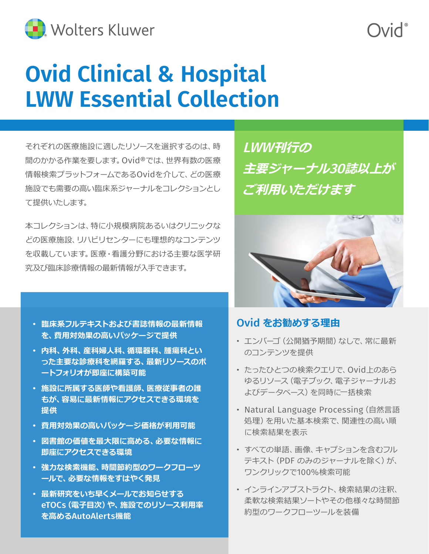

# **Ovid Clinical & Hospital LWW Essential Collection**

それぞれの医療施設に適したリソースを選択するのは、時 間のかかる作業を要します。Ovid®では、世界有数の医療 情報検索プラットフォームであるOvidを介して、どの医療 施設でも需要の高い臨床系ジャーナルをコレクションとし て提供いたします。

本コレクションは、特に小規模病院あるいはクリニックな どの医療施設、リハビリセンターにも理想的なコンテンツ を収載しています。医療・看護分野における主要な医学研 究及び臨床診療情報の最新情報が入手できます。

- **臨床系フルテキストおよび書誌情報の最新情報 を、費用対効果の高いパッケージで提供**
- **内科、外科、産科婦人科、循環器科、腫瘍科とい った主要な診療科を網羅する、最新リソースのポ ートフォリオが即座に構築可能**
- **施設に所属する医師や看護師、医療従事者の誰 もが、容易に最新情報にアクセスできる環境を 提供**
- **費用対効果の高いパッケージ価格が利用可能**
- **図書館の価値を最大限に高める、必要な情報に 即座にアクセスできる環境**
- **強力な検索機能、時間節約型のワークフローツ ールで、必要な情報をすはやく発見**
- **最新研究をいち早くメールでお知らせする** eTOCs**(電子目次)や、施設でのリソース利用率 を高める**AutoAlerts**機能**

LWW**刊行の 主要ジャーナル**30**誌以上が ご利用いただけます**



### Ovid **をお勧めする理由**

- エンバーゴ(公開猶予期間)なしで、常に最新 のコンテンツを提供
- たったひとつの検索クエリで、Ovid上のあら ゆるリソース(電子ブック、電子ジャーナルお よびデータベース)を同時に一括検索
- Natural Language Processing(自然言語 処理)を用いた基本検索で、関連性の高い順 に検索結果を表示
- すべての単語、画像、キャプションを含むフル テキスト(PDF のみのジャーナルを除く)が、 ワンクリックで100%検索可能
- インラインアブストラクト、検索結果の注釈、 柔軟な検索結果ソートやその他様々な時間節 約型のワークフローツールを装備

*Nid*